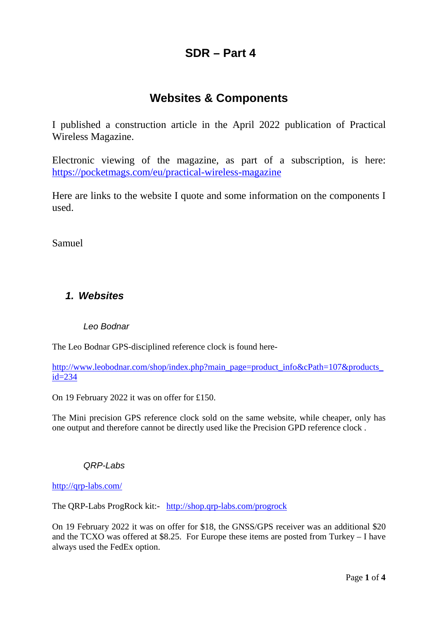# **SDR – Part 4**

## **Websites & Components**

I published a construction article in the April 2022 publication of Practical Wireless Magazine.

Electronic viewing of the magazine, as part of a subscription, is here: <https://pocketmags.com/eu/practical-wireless-magazine>

Here are links to the website I quote and some information on the components I used.

Samuel

### *1. Websites*

#### *Leo Bodnar*

The Leo Bodnar GPS-disciplined reference clock is found here-

[http://www.leobodnar.com/shop/index.php?main\\_page=product\\_info&cPath=107&products\\_](http://www.leobodnar.com/shop/index.php?main_page=product_info&cPath=107&products_id=234)  $id = 234$ 

On 19 February 2022 it was on offer for £150.

The Mini precision GPS reference clock sold on the same website, while cheaper, only has one output and therefore cannot be directly used like the Precision GPD reference clock .

#### *QRP-Labs*

<http://qrp-labs.com/>

The QRP-Labs ProgRock kit:- <http://shop.qrp-labs.com/progrock>

On 19 February 2022 it was on offer for \$18, the GNSS/GPS receiver was an additional \$20 and the TCXO was offered at \$8.25. For Europe these items are posted from Turkey – I have always used the FedEx option.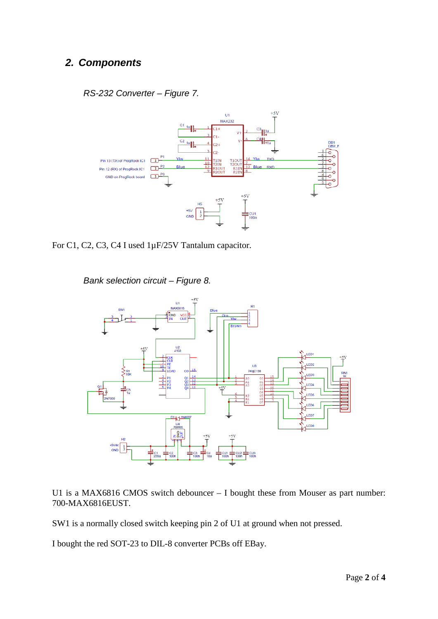### *2. Components*





For C1, C2, C3, C4 I used 1µF/25V Tantalum capacitor.

*Bank selection circuit – Figure 8.*



U1 is a MAX6816 CMOS switch debouncer – I bought these from Mouser as part number: 700-MAX6816EUST.

SW1 is a normally closed switch keeping pin 2 of U1 at ground when not pressed.

I bought the red SOT-23 to DIL-8 converter PCBs off EBay.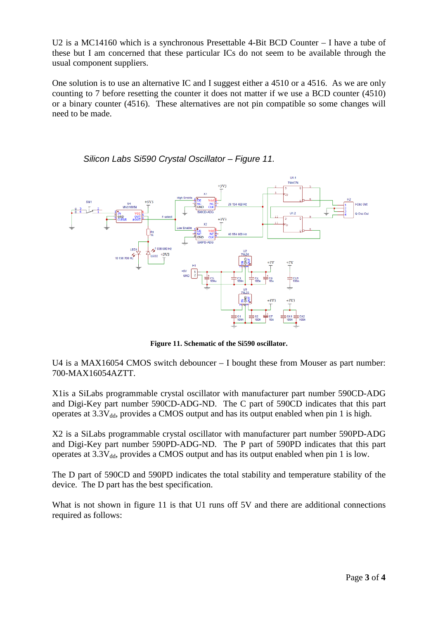U2 is a MC14160 which is a synchronous Presettable 4-Bit BCD Counter – I have a tube of these but I am concerned that these particular ICs do not seem to be available through the usual component suppliers.

One solution is to use an alternative IC and I suggest either a 4510 or a 4516. As we are only counting to 7 before resetting the counter it does not matter if we use a BCD counter (4510) or a binary counter (4516). These alternatives are not pin compatible so some changes will need to be made.



*Silicon Labs Si590 Crystal Oscillator – Figure 11.*

**Figure 11. Schematic of the Si590 oscillator.**

U4 is a MAX16054 CMOS switch debouncer – I bought these from Mouser as part number: 700-MAX16054AZTT.

X1is a SiLabs programmable crystal oscillator with manufacturer part number 590CD-ADG and Digi-Key part number 590CD-ADG-ND. The C part of 590CD indicates that this part operates at  $3.3V_{dd}$ , provides a CMOS output and has its output enabled when pin 1 is high.

X2 is a SiLabs programmable crystal oscillator with manufacturer part number 590PD-ADG and Digi-Key part number 590PD-ADG-ND. The P part of 590PD indicates that this part operates at  $3.3V_{dd}$ , provides a CMOS output and has its output enabled when pin 1 is low.

The D part of 590CD and 590PD indicates the total stability and temperature stability of the device. The D part has the best specification.

What is not shown in figure 11 is that U1 runs off 5V and there are additional connections required as follows: